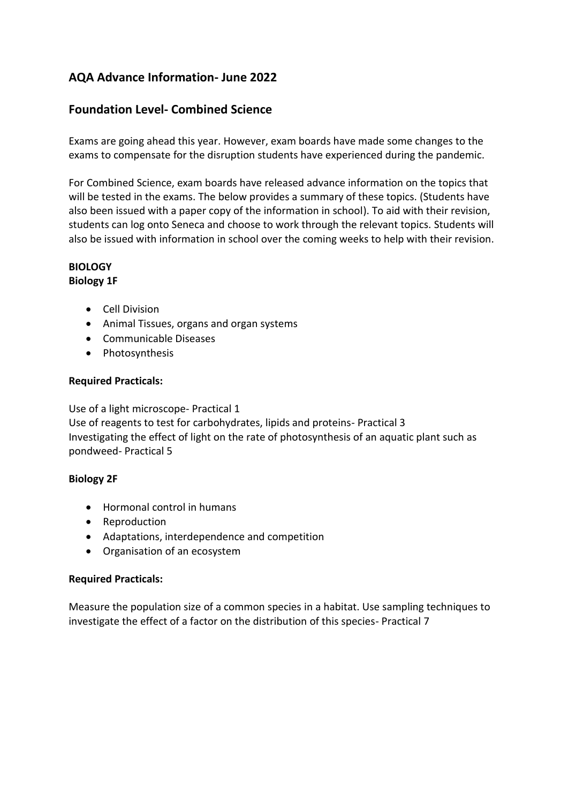# **AQA Advance Information- June 2022**

# **Foundation Level- Combined Science**

Exams are going ahead this year. However, exam boards have made some changes to the exams to compensate for the disruption students have experienced during the pandemic.

For Combined Science, exam boards have released advance information on the topics that will be tested in the exams. The below provides a summary of these topics. (Students have also been issued with a paper copy of the information in school). To aid with their revision, students can log onto Seneca and choose to work through the relevant topics. Students will also be issued with information in school over the coming weeks to help with their revision.

#### **BIOLOGY Biology 1F**

- Cell Division
- Animal Tissues, organs and organ systems
- Communicable Diseases
- Photosynthesis

### **Required Practicals:**

Use of a light microscope- Practical 1 Use of reagents to test for carbohydrates, lipids and proteins- Practical 3 Investigating the effect of light on the rate of photosynthesis of an aquatic plant such as pondweed- Practical 5

### **Biology 2F**

- Hormonal control in humans
- Reproduction
- Adaptations, interdependence and competition
- Organisation of an ecosystem

### **Required Practicals:**

Measure the population size of a common species in a habitat. Use sampling techniques to investigate the effect of a factor on the distribution of this species- Practical 7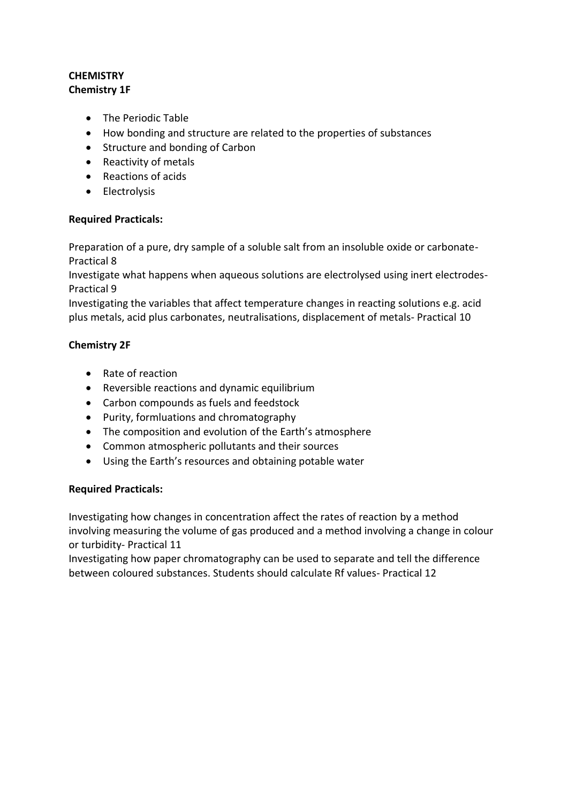### **CHEMISTRY Chemistry 1F**

- The Periodic Table
- How bonding and structure are related to the properties of substances
- Structure and bonding of Carbon
- Reactivity of metals
- Reactions of acids
- Electrolysis

### **Required Practicals:**

Preparation of a pure, dry sample of a soluble salt from an insoluble oxide or carbonate-Practical 8

Investigate what happens when aqueous solutions are electrolysed using inert electrodes-Practical 9

Investigating the variables that affect temperature changes in reacting solutions e.g. acid plus metals, acid plus carbonates, neutralisations, displacement of metals- Practical 10

### **Chemistry 2F**

- Rate of reaction
- Reversible reactions and dynamic equilibrium
- Carbon compounds as fuels and feedstock
- Purity, formluations and chromatography
- The composition and evolution of the Earth's atmosphere
- Common atmospheric pollutants and their sources
- Using the Earth's resources and obtaining potable water

### **Required Practicals:**

Investigating how changes in concentration affect the rates of reaction by a method involving measuring the volume of gas produced and a method involving a change in colour or turbidity- Practical 11

Investigating how paper chromatography can be used to separate and tell the difference between coloured substances. Students should calculate Rf values- Practical 12